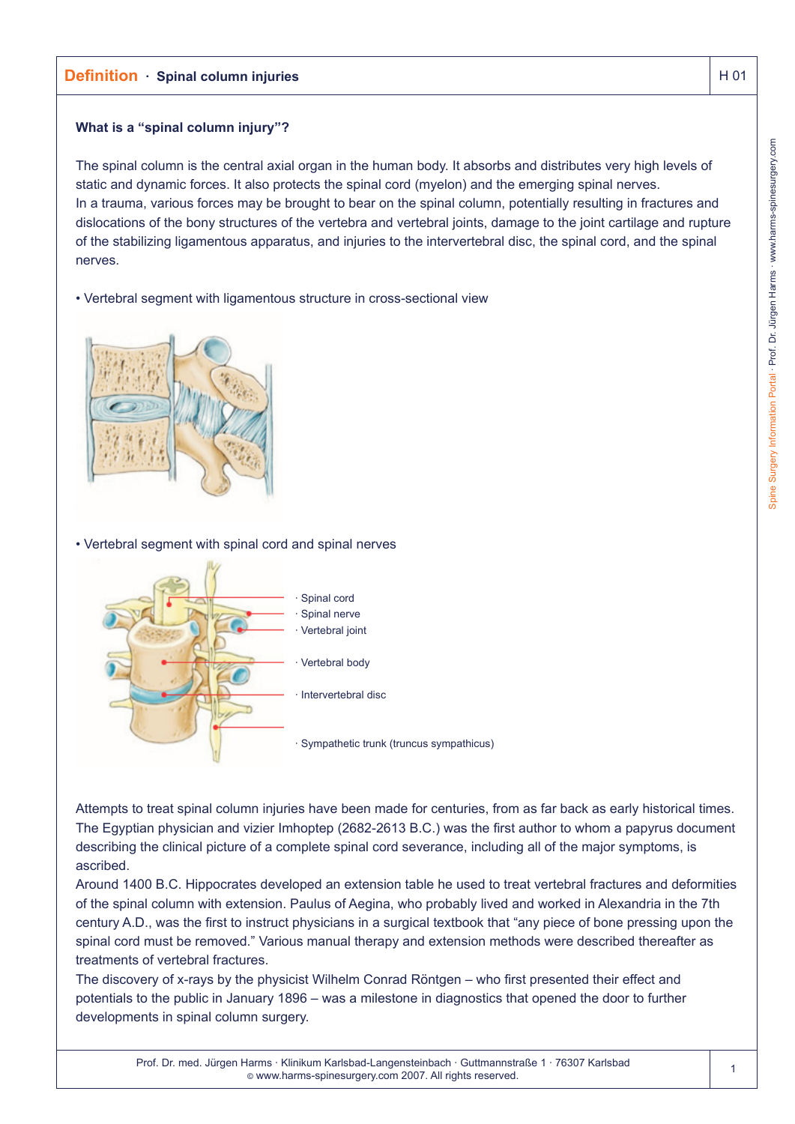# **Definition** · Spinal column injuries And All 2014 **H** 01

## **What is a "spinal column injury"?**

The spinal column is the central axial organ in the human body. It absorbs and distributes very high levels of static and dynamic forces. It also protects the spinal cord (myelon) and the emerging spinal nerves. In a trauma, various forces may be brought to bear on the spinal column, potentially resulting in fractures and dislocations of the bony structures of the vertebra and vertebral joints, damage to the joint cartilage and rupture of the stabilizing ligamentous apparatus, and injuries to the intervertebral disc, the spinal cord, and the spinal nerves.

• Vertebral segment with ligamentous structure in cross-sectional view



• Vertebral segment with spinal cord and spinal nerves



Attempts to treat spinal column injuries have been made for centuries, from as far back as early historical times. The Egyptian physician and vizier Imhoptep (2682-2613 B.C.) was the first author to whom a papyrus document describing the clinical picture of a complete spinal cord severance, including all of the major symptoms, is ascribed.

Around 1400 B.C. Hippocrates developed an extension table he used to treat vertebral fractures and deformities of the spinal column with extension. Paulus of Aegina, who probably lived and worked in Alexandria in the 7th century A.D., was the first to instruct physicians in a surgical textbook that "any piece of bone pressing upon the spinal cord must be removed." Various manual therapy and extension methods were described thereafter as treatments of vertebral fractures.

The discovery of x-rays by the physicist Wilhelm Conrad Röntgen – who first presented their effect and potentials to the public in January 1896 – was a milestone in diagnostics that opened the door to further developments in spinal column surgery.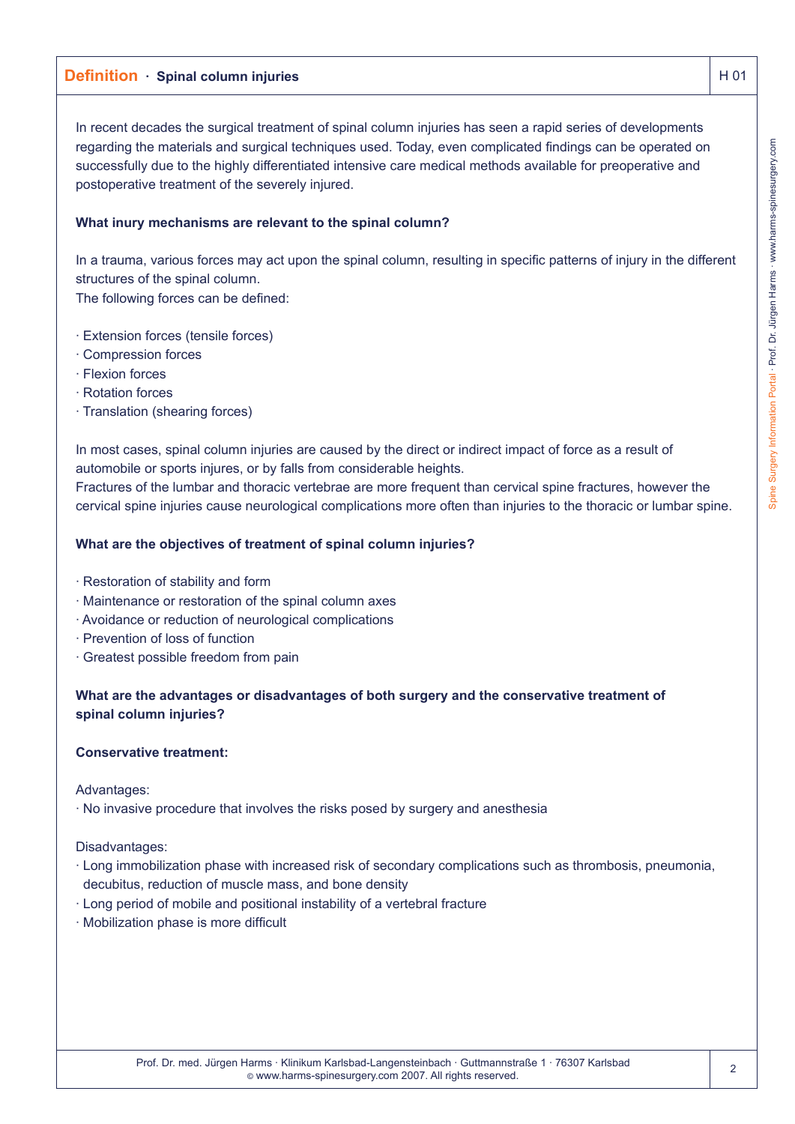# **Definition** · Spinal column injuries And All 2014 **H** 01

In recent decades the surgical treatment of spinal column injuries has seen a rapid series of developments regarding the materials and surgical techniques used. Today, even complicated findings can be operated on successfully due to the highly differentiated intensive care medical methods available for preoperative and postoperative treatment of the severely injured.

## **What inury mechanisms are relevant to the spinal column?**

In a trauma, various forces may act upon the spinal column, resulting in specific patterns of injury in the different structures of the spinal column.

The following forces can be defined:

- · Extension forces (tensile forces)
- · Compression forces
- · Flexion forces
- · Rotation forces
- · Translation (shearing forces)

In most cases, spinal column injuries are caused by the direct or indirect impact of force as a result of automobile or sports injures, or by falls from considerable heights.

Fractures of the lumbar and thoracic vertebrae are more frequent than cervical spine fractures, however the cervical spine injuries cause neurological complications more often than injuries to the thoracic or lumbar spine.

### **What are the objectives of treatment of spinal column injuries?**

- · Restoration of stability and form
- · Maintenance or restoration of the spinal column axes
- · Avoidance or reduction of neurological complications
- · Prevention of loss of function
- · Greatest possible freedom from pain

## **What are the advantages or disadvantages of both surgery and the conservative treatment of spinal column injuries?**

### **Conservative treatment:**

Advantages:

· No invasive procedure that involves the risks posed by surgery and anesthesia

Disadvantages:

- · Long immobilization phase with increased risk of secondary complications such as thrombosis, pneumonia, decubitus, reduction of muscle mass, and bone density
- · Long period of mobile and positional instability of a vertebral fracture
- · Mobilization phase is more difficult